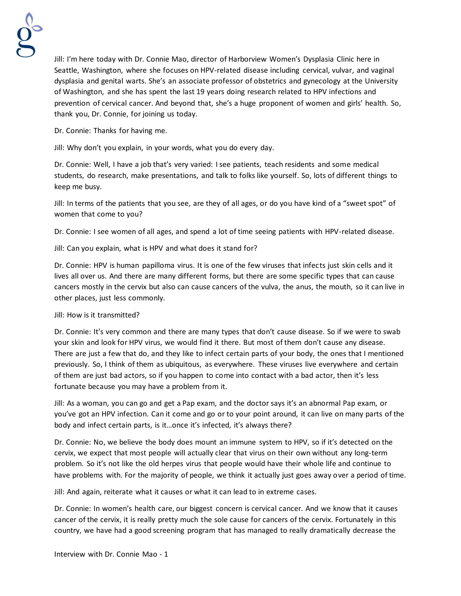

Jill: I'm here today with Dr. Connie Mao, director of Harborview Women's Dysplasia Clinic here in Seattle, Washington, where she focuses on HPV-related disease including cervical, vulvar, and vaginal dysplasia and genital warts. She's an associate professor of obstetrics and gynecology at the University of Washington, and she has spent the last 19 years doing research related to HPV infections and prevention of cervical cancer. And beyond that, she's a huge proponent of women and girls' health. So, thank you, Dr. Connie, for joining us today.

Dr. Connie: Thanks for having me.

Jill: Why don't you explain, in your words, what you do every day.

Dr. Connie: Well, I have a job that's very varied: I see patients, teach residents and some medical students, do research, make presentations, and talk to folks like yourself. So, lots of different things to keep me busy.

Jill: In terms of the patients that you see, are they of all ages, or do you have kind of a "sweet spot" of women that come to you?

Dr. Connie: I see women of all ages, and spend a lot of time seeing patients with HPV-related disease.

Jill: Can you explain, what is HPV and what does it stand for?

Dr. Connie: HPV is human papilloma virus. It is one of the few viruses that infects just skin cells and it lives all over us. And there are many different forms, but there are some specific types that can cause cancers mostly in the cervix but also can cause cancers of the vulva, the anus, the mouth, so it can live in other places, just less commonly.

Jill: How is it transmitted?

Dr. Connie: It's very common and there are many types that don't cause disease. So if we were to swab your skin and look for HPV virus, we would find it there. But most of them don't cause any disease. There are just a few that do, and they like to infect certain parts of your body, the ones that I mentioned previously. So, I think of them as ubiquitous, as everywhere. These viruses live everywhere and certain of them are just bad actors, so if you happen to come into contact with a bad actor, then it's less fortunate because you may have a problem from it.

Jill: As a woman, you can go and get a Pap exam, and the doctor says it's an abnormal Pap exam, or you've got an HPV infection. Can it come and go or to your point around, it can live on many parts of the body and infect certain parts, is it…once it's infected, it's always there?

Dr. Connie: No, we believe the body does mount an immune system to HPV, so if it's detected on the cervix, we expect that most people will actually clear that virus on their own without any long-term problem. So it's not like the old herpes virus that people would have their whole life and continue to have problems with. For the majority of people, we think it actually just goes away over a period of time.

Jill: And again, reiterate what it causes or what it can lead to in extreme cases.

Dr. Connie: In women's health care, our biggest concern is cervical cancer. And we know that it causes cancer of the cervix, it is really pretty much the sole cause for cancers of the cervix. Fortunately in this country, we have had a good screening program that has managed to really dramatically decrease the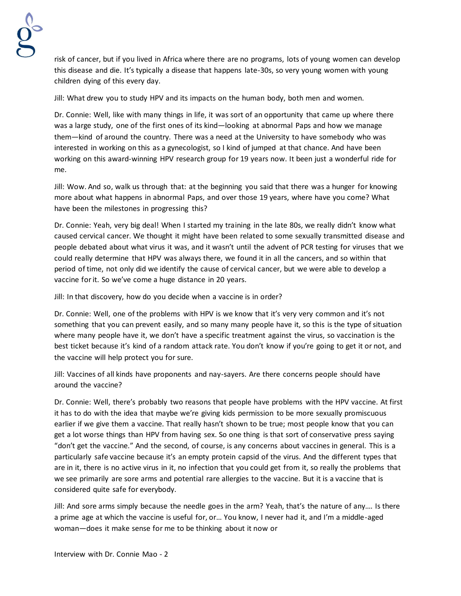

risk of cancer, but if you lived in Africa where there are no programs, lots of young women can develop this disease and die. It's typically a disease that happens late-30s, so very young women with young children dying of this every day.

Jill: What drew you to study HPV and its impacts on the human body, both men and women.

Dr. Connie: Well, like with many things in life, it was sort of an opportunity that came up where there was a large study, one of the first ones of its kind—looking at abnormal Paps and how we manage them—kind of around the country. There was a need at the University to have somebody who was interested in working on this as a gynecologist, so I kind of jumped at that chance. And have been working on this award-winning HPV research group for 19 years now. It been just a wonderful ride for me.

Jill: Wow. And so, walk us through that: at the beginning you said that there was a hunger for knowing more about what happens in abnormal Paps, and over those 19 years, where have you come? What have been the milestones in progressing this?

Dr. Connie: Yeah, very big deal! When I started my training in the late 80s, we really didn't know what caused cervical cancer. We thought it might have been related to some sexually transmitted disease and people debated about what virus it was, and it wasn't until the advent of PCR testing for viruses that we could really determine that HPV was always there, we found it in all the cancers, and so within that period of time, not only did we identify the cause of cervical cancer, but we were able to develop a vaccine for it. So we've come a huge distance in 20 years.

Jill: In that discovery, how do you decide when a vaccine is in order?

Dr. Connie: Well, one of the problems with HPV is we know that it's very very common and it's not something that you can prevent easily, and so many many people have it, so this is the type of situation where many people have it, we don't have a specific treatment against the virus, so vaccination is the best ticket because it's kind of a random attack rate. You don't know if you're going to get it or not, and the vaccine will help protect you for sure.

Jill: Vaccines of all kinds have proponents and nay-sayers. Are there concerns people should have around the vaccine?

Dr. Connie: Well, there's probably two reasons that people have problems with the HPV vaccine. At first it has to do with the idea that maybe we're giving kids permission to be more sexually promiscuous earlier if we give them a vaccine. That really hasn't shown to be true; most people know that you can get a lot worse things than HPV from having sex. So one thing is that sort of conservative press saying "don't get the vaccine." And the second, of course, is any concerns about vaccines in general. This is a particularly safe vaccine because it's an empty protein capsid of the virus. And the different types that are in it, there is no active virus in it, no infection that you could get from it, so really the problems that we see primarily are sore arms and potential rare allergies to the vaccine. But it is a vaccine that is considered quite safe for everybody.

Jill: And sore arms simply because the needle goes in the arm? Yeah, that's the nature of any…. Is there a prime age at which the vaccine is useful for, or… You know, I never had it, and I'm a middle-aged woman—does it make sense for me to be thinking about it now or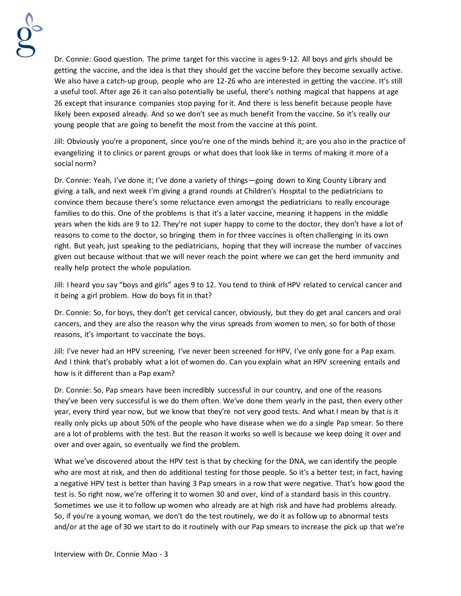

Dr. Connie: Good question. The prime target for this vaccine is ages 9-12. All boys and girls should be getting the vaccine, and the idea is that they should get the vaccine before they become sexually active. We also have a catch-up group, people who are 12-26 who are interested in getting the vaccine. It's still a useful tool. After age 26 it can also potentially be useful, there's nothing magical that happens at age 26 except that insurance companies stop paying for it. And there is less benefit because people have likely been exposed already. And so we don't see as much benefit from the vaccine. So it's really our young people that are going to benefit the most from the vaccine at this point.

Jill: Obviously you're a proponent, since you're one of the minds behind it; are you also in the practice of evangelizing it to clinics or parent groups or what does that look like in terms of making it more of a social norm?

Dr. Connie: Yeah, I've done it; I've done a variety of things—going down to King County Library and giving a talk, and next week I'm giving a grand rounds at Children's Hospital to the pediatricians to convince them because there's some reluctance even amongst the pediatricians to really encourage families to do this. One of the problems is that it's a later vaccine, meaning it happens in the middle years when the kids are 9 to 12. They're not super happy to come to the doctor, they don't have a lot of reasons to come to the doctor, so bringing them in for three vaccines is often challenging in its own right. But yeah, just speaking to the pediatricians, hoping that they will increase the number of vaccines given out because without that we will never reach the point where we can get the herd immunity and really help protect the whole population.

Jill: I heard you say "boys and girls" ages 9 to 12. You tend to think of HPV related to cervical cancer and it being a girl problem. How do boys fit in that?

Dr. Connie: So, for boys, they don't get cervical cancer, obviously, but they do get anal cancers and oral cancers, and they are also the reason why the virus spreads from women to men, so for both of those reasons, it's important to vaccinate the boys.

Jill: I've never had an HPV screening, I've never been screened for HPV, I've only gone for a Pap exam. And I think that's probably what a lot of women do. Can you explain what an HPV screening entails and how is it different than a Pap exam?

Dr. Connie: So, Pap smears have been incredibly successful in our country, and one of the reasons they've been very successful is we do them often. We've done them yearly in the past, then every other year, every third year now, but we know that they're not very good tests. And what I mean by that is it really only picks up about 50% of the people who have disease when we do a single Pap smear. So there are a lot of problems with the test. But the reason it works so well is because we keep doing it over and over and over again, so eventually we find the problem.

What we've discovered about the HPV test is that by checking for the DNA, we can identify the people who are most at risk, and then do additional testing for those people. So it's a better test; in fact, having a negative HPV test is better than having 3 Pap smears in a row that were negative. That's how good the test is. So right now, we're offering it to women 30 and over, kind of a standard basis in this country. Sometimes we use it to follow up women who already are at high risk and have had problems already. So, if you're a young woman, we don't do the test routinely, we do it as follow up to abnormal tests and/or at the age of 30 we start to do it routinely with our Pap smears to increase the pick up that we're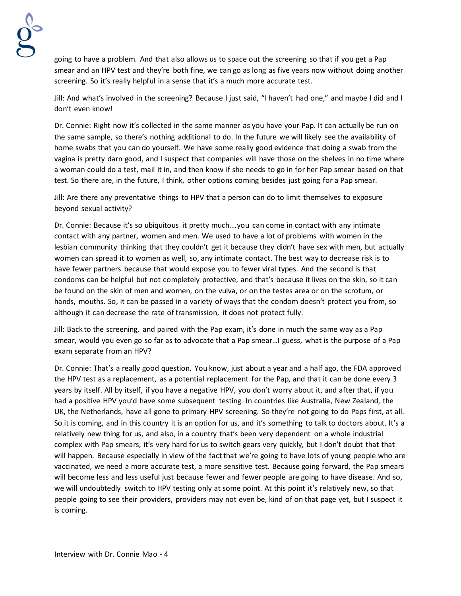

going to have a problem. And that also allows us to space out the screening so that if you get a Pap smear and an HPV test and they're both fine, we can go as long as five years now without doing another screening. So it's really helpful in a sense that it's a much more accurate test.

Jill: And what's involved in the screening? Because I just said, "I haven't had one," and maybe I did and I don't even know!

Dr. Connie: Right now it's collected in the same manner as you have your Pap. It can actually be run on the same sample, so there's nothing additional to do. In the future we will likely see the availability of home swabs that you can do yourself. We have some really good evidence that doing a swab from the vagina is pretty darn good, and I suspect that companies will have those on the shelves in no time where a woman could do a test, mail it in, and then know if she needs to go in for her Pap smear based on that test. So there are, in the future, I think, other options coming besides just going for a Pap smear.

Jill: Are there any preventative things to HPV that a person can do to limit themselves to exposure beyond sexual activity?

Dr. Connie: Because it's so ubiquitous it pretty much….you can come in contact with any intimate contact with any partner, women and men. We used to have a lot of problems with women in the lesbian community thinking that they couldn't get it because they didn't have sex with men, but actually women can spread it to women as well, so, any intimate contact. The best way to decrease risk is to have fewer partners because that would expose you to fewer viral types. And the second is that condoms can be helpful but not completely protective, and that's because it lives on the skin, so it can be found on the skin of men and women, on the vulva, or on the testes area or on the scrotum, or hands, mouths. So, it can be passed in a variety of ways that the condom doesn't protect you from, so although it can decrease the rate of transmission, it does not protect fully.

Jill: Back to the screening, and paired with the Pap exam, it's done in much the same way as a Pap smear, would you even go so far as to advocate that a Pap smear…I guess, what is the purpose of a Pap exam separate from an HPV?

Dr. Connie: That's a really good question. You know, just about a year and a half ago, the FDA approved the HPV test as a replacement, as a potential replacement for the Pap, and that it can be done every 3 years by itself. All by itself, if you have a negative HPV, you don't worry about it, and after that, if you had a positive HPV you'd have some subsequent testing. In countries like Australia, New Zealand, the UK, the Netherlands, have all gone to primary HPV screening. So they're not going to do Paps first, at all. So it is coming, and in this country it is an option for us, and it's something to talk to doctors about. It's a relatively new thing for us, and also, in a country that's been very dependent on a whole industrial complex with Pap smears, it's very hard for us to switch gears very quickly, but I don't doubt that that will happen. Because especially in view of the fact that we're going to have lots of young people who are vaccinated, we need a more accurate test, a more sensitive test. Because going forward, the Pap smears will become less and less useful just because fewer and fewer people are going to have disease. And so, we will undoubtedly switch to HPV testing only at some point. At this point it's relatively new, so that people going to see their providers, providers may not even be, kind of on that page yet, but I suspect it is coming.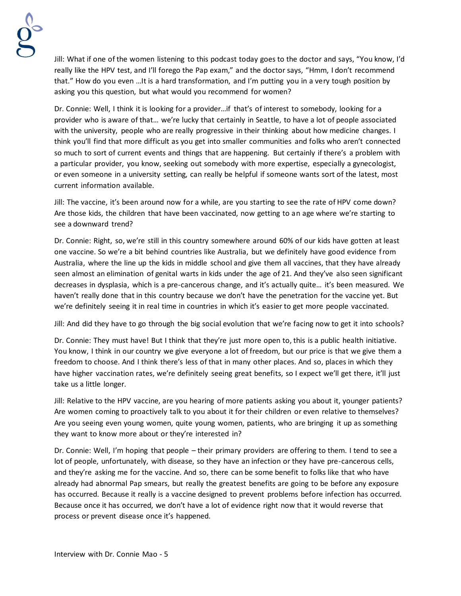

Jill: What if one of the women listening to this podcast today goes to the doctor and says, "You know, I'd really like the HPV test, and I'll forego the Pap exam," and the doctor says, "Hmm, I don't recommend that." How do you even …It is a hard transformation, and I'm putting you in a very tough position by asking you this question, but what would you recommend for women?

Dr. Connie: Well, I think it is looking for a provider…if that's of interest to somebody, looking for a provider who is aware of that… we're lucky that certainly in Seattle, to have a lot of people associated with the university, people who are really progressive in their thinking about how medicine changes. I think you'll find that more difficult as you get into smaller communities and folks who aren't connected so much to sort of current events and things that are happening. But certainly if there's a problem with a particular provider, you know, seeking out somebody with more expertise, especially a gynecologist, or even someone in a university setting, can really be helpful if someone wants sort of the latest, most current information available.

Jill: The vaccine, it's been around now for a while, are you starting to see the rate of HPV come down? Are those kids, the children that have been vaccinated, now getting to an age where we're starting to see a downward trend?

Dr. Connie: Right, so, we're still in this country somewhere around 60% of our kids have gotten at least one vaccine. So we're a bit behind countries like Australia, but we definitely have good evidence from Australia, where the line up the kids in middle school and give them all vaccines, that they have already seen almost an elimination of genital warts in kids under the age of 21. And they've also seen significant decreases in dysplasia, which is a pre-cancerous change, and it's actually quite… it's been measured. We haven't really done that in this country because we don't have the penetration for the vaccine yet. But we're definitely seeing it in real time in countries in which it's easier to get more people vaccinated.

Jill: And did they have to go through the big social evolution that we're facing now to get it into schools?

Dr. Connie: They must have! But I think that they're just more open to, this is a public health initiative. You know, I think in our country we give everyone a lot of freedom, but our price is that we give them a freedom to choose. And I think there's less of that in many other places. And so, places in which they have higher vaccination rates, we're definitely seeing great benefits, so I expect we'll get there, it'll just take us a little longer.

Jill: Relative to the HPV vaccine, are you hearing of more patients asking you about it, younger patients? Are women coming to proactively talk to you about it for their children or even relative to themselves? Are you seeing even young women, quite young women, patients, who are bringing it up as something they want to know more about or they're interested in?

Dr. Connie: Well, I'm hoping that people – their primary providers are offering to them. I tend to see a lot of people, unfortunately, with disease, so they have an infection or they have pre-cancerous cells, and they're asking me for the vaccine. And so, there can be some benefit to folks like that who have already had abnormal Pap smears, but really the greatest benefits are going to be before any exposure has occurred. Because it really is a vaccine designed to prevent problems before infection has occurred. Because once it has occurred, we don't have a lot of evidence right now that it would reverse that process or prevent disease once it's happened.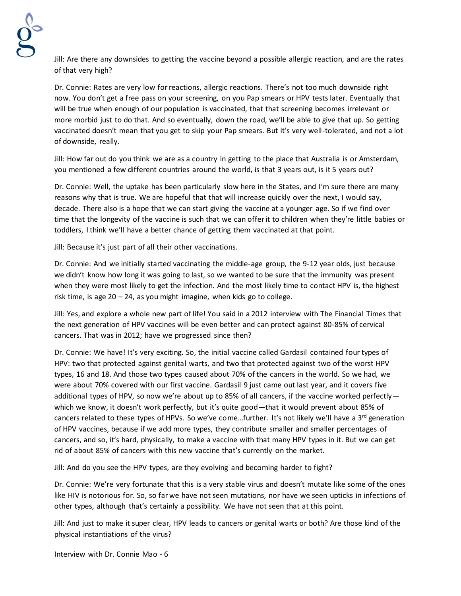

Jill: Are there any downsides to getting the vaccine beyond a possible allergic reaction, and are the rates of that very high?

Dr. Connie: Rates are very low for reactions, allergic reactions. There's not too much downside right now. You don't get a free pass on your screening, on you Pap smears or HPV tests later. Eventually that will be true when enough of our population is vaccinated, that that screening becomes irrelevant or more morbid just to do that. And so eventually, down the road, we'll be able to give that up. So getting vaccinated doesn't mean that you get to skip your Pap smears. But it's very well-tolerated, and not a lot of downside, really.

Jill: How far out do you think we are as a country in getting to the place that Australia is or Amsterdam, you mentioned a few different countries around the world, is that 3 years out, is it 5 years out?

Dr. Connie: Well, the uptake has been particularly slow here in the States, and I'm sure there are many reasons why that is true. We are hopeful that that will increase quickly over the next, I would say, decade. There also is a hope that we can start giving the vaccine at a younger age. So if we find over time that the longevity of the vaccine is such that we can offer it to children when they're little babies or toddlers, I think we'll have a better chance of getting them vaccinated at that point.

Jill: Because it's just part of all their other vaccinations.

Dr. Connie: And we initially started vaccinating the middle-age group, the 9-12 year olds, just because we didn't know how long it was going to last, so we wanted to be sure that the immunity was present when they were most likely to get the infection. And the most likely time to contact HPV is, the highest risk time, is age  $20 - 24$ , as you might imagine, when kids go to college.

Jill: Yes, and explore a whole new part of life! You said in a 2012 interview with The Financial Times that the next generation of HPV vaccines will be even better and can protect against 80-85% of cervical cancers. That was in 2012; have we progressed since then?

Dr. Connie: We have! It's very exciting. So, the initial vaccine called Gardasil contained four types of HPV: two that protected against genital warts, and two that protected against two of the worst HPV types, 16 and 18. And those two types caused about 70% of the cancers in the world. So we had, we were about 70% covered with our first vaccine. Gardasil 9 just came out last year, and it covers five additional types of HPV, so now we're about up to 85% of all cancers, if the vaccine worked perfectly which we know, it doesn't work perfectly, but it's quite good—that it would prevent about 85% of cancers related to these types of HPVs. So we've come...further. It's not likely we'll have a  $3^{rd}$  generation of HPV vaccines, because if we add more types, they contribute smaller and smaller percentages of cancers, and so, it's hard, physically, to make a vaccine with that many HPV types in it. But we can get rid of about 85% of cancers with this new vaccine that's currently on the market.

Jill: And do you see the HPV types, are they evolving and becoming harder to fight?

Dr. Connie: We're very fortunate that this is a very stable virus and doesn't mutate like some of the ones like HIV is notorious for. So, so far we have not seen mutations, nor have we seen upticks in infections of other types, although that's certainly a possibility. We have not seen that at this point.

Jill: And just to make it super clear, HPV leads to cancers or genital warts or both? Are those kind of the physical instantiations of the virus?

Interview with Dr. Connie Mao - 6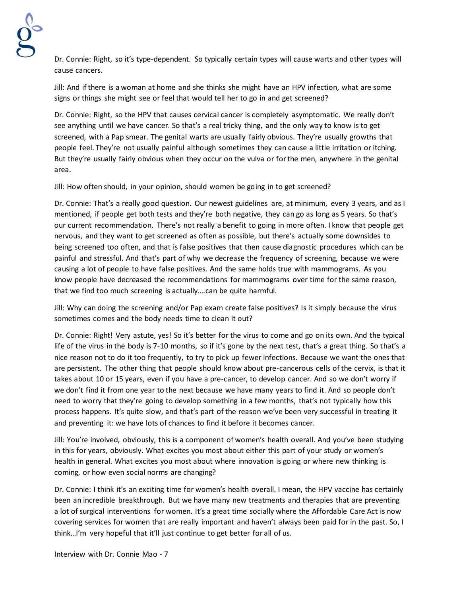Dr. Connie: Right, so it's type-dependent. So typically certain types will cause warts and other types will cause cancers.

Jill: And if there is a woman at home and she thinks she might have an HPV infection, what are some signs or things she might see or feel that would tell her to go in and get screened?

Dr. Connie: Right, so the HPV that causes cervical cancer is completely asymptomatic. We really don't see anything until we have cancer. So that's a real tricky thing, and the only way to know is to get screened, with a Pap smear. The genital warts are usually fairly obvious. They're usually growths that people feel. They're not usually painful although sometimes they can cause a little irritation or itching. But they're usually fairly obvious when they occur on the vulva or for the men, anywhere in the genital area.

Jill: How often should, in your opinion, should women be going in to get screened?

Dr. Connie: That's a really good question. Our newest guidelines are, at minimum, every 3 years, and as I mentioned, if people get both tests and they're both negative, they can go as long as 5 years. So that's our current recommendation. There's not really a benefit to going in more often. I know that people get nervous, and they want to get screened as often as possible, but there's actually some downsides to being screened too often, and that is false positives that then cause diagnostic procedures which can be painful and stressful. And that's part of why we decrease the frequency of screening, because we were causing a lot of people to have false positives. And the same holds true with mammograms. As you know people have decreased the recommendations for mammograms over time for the same reason, that we find too much screening is actually….can be quite harmful.

Jill: Why can doing the screening and/or Pap exam create false positives? Is it simply because the virus sometimes comes and the body needs time to clean it out?

Dr. Connie: Right! Very astute, yes! So it's better for the virus to come and go on its own. And the typical life of the virus in the body is 7-10 months, so if it's gone by the next test, that's a great thing. So that's a nice reason not to do it too frequently, to try to pick up fewer infections. Because we want the ones that are persistent. The other thing that people should know about pre-cancerous cells of the cervix, is that it takes about 10 or 15 years, even if you have a pre-cancer, to develop cancer. And so we don't worry if we don't find it from one year to the next because we have many years to find it. And so people don't need to worry that they're going to develop something in a few months, that's not typically how this process happens. It's quite slow, and that's part of the reason we've been very successful in treating it and preventing it: we have lots of chances to find it before it becomes cancer.

Jill: You're involved, obviously, this is a component of women's health overall. And you've been studying in this for years, obviously. What excites you most about either this part of your study or women's health in general. What excites you most about where innovation is going or where new thinking is coming, or how even social norms are changing?

Dr. Connie: I think it's an exciting time for women's health overall. I mean, the HPV vaccine has certainly been an incredible breakthrough. But we have many new treatments and therapies that are preventing a lot of surgical interventions for women. It's a great time socially where the Affordable Care Act is now covering services for women that are really important and haven't always been paid for in the past. So, I think…I'm very hopeful that it'll just continue to get better for all of us.